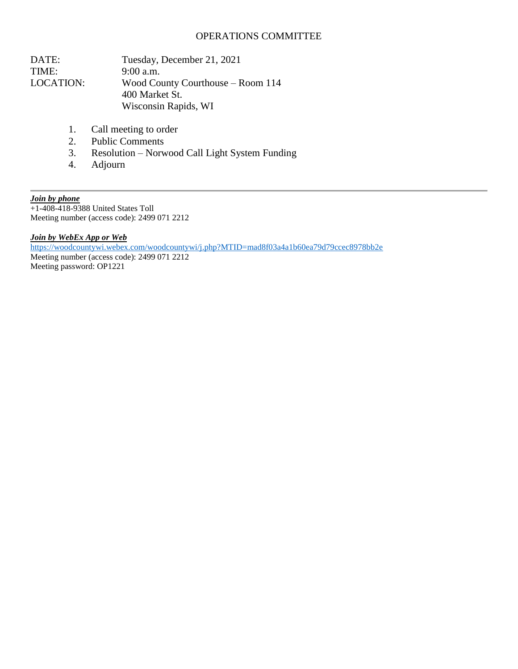## OPERATIONS COMMITTEE

| DATE:     | Tuesday, December 21, 2021        |
|-----------|-----------------------------------|
| TIME:     | $9:00$ a.m.                       |
| LOCATION: | Wood County Courthouse – Room 114 |
|           | 400 Market St.                    |
|           | Wisconsin Rapids, WI              |

- 1. Call meeting to order
- 2. Public Comments
- 3. Resolution Norwood Call Light System Funding
- 4. Adjourn

*Join by phone* +1-408-418-9388 United States Toll Meeting number (access code): 2499 071 2212

*Join by WebEx App or Web*

<https://woodcountywi.webex.com/woodcountywi/j.php?MTID=mad8f03a4a1b60ea79d79ccec8978bb2e>

Meeting number (access code): 2499 071 2212 Meeting password: OP1221